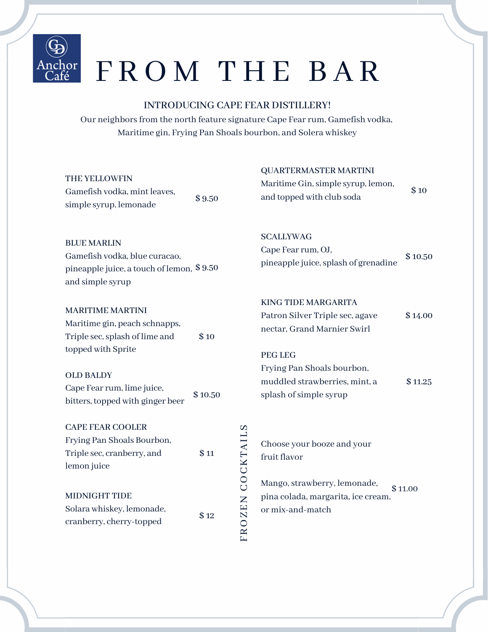

# Anchor FROM THE BAR

# INTRODUCING CAPE FEAR DISTILLERY!

Our neighbors from the north feature signature Cape Fear rum, Gamefish vodka, Maritime gin, Frying Pan Shoals bourbon, and Solera whiskey

| THE YELLOWFIN<br>Gamefish vodka, mint leaves,<br>simple syrup, lemonade                                              | \$9.50  |                  | <b>QUARTERMASTER MARTINI</b><br>Maritime Gin, simple syrup, lemon,<br>and topped with club soda                | \$10    |
|----------------------------------------------------------------------------------------------------------------------|---------|------------------|----------------------------------------------------------------------------------------------------------------|---------|
| <b>BLUE MARLIN</b><br>Gamefish vodka, blue curacao,<br>pineapple juice, a touch of lemon, \$9.50<br>and simple syrup |         |                  | <b>SCALLYWAG</b><br>Cape Fear rum, OJ,<br>pineapple juice, splash of grenadine                                 | \$10.50 |
| <b>MARITIME MARTINI</b><br>Maritime gin, peach schnapps,<br>Triple sec, splash of lime and<br>topped with Sprite     | \$10    |                  | <b>KING TIDE MARGARITA</b><br>Patron Silver Triple sec, agave<br>nectar, Grand Marnier Swirl<br><b>PEG LEG</b> | \$14.00 |
| <b>OLD BALDY</b><br>Cape Fear rum, lime juice,<br>bitters, topped with ginger beer                                   | \$10.50 |                  | Frying Pan Shoals bourbon,<br>muddled strawberries, mint, a<br>splash of simple syrup                          | \$11.25 |
| <b>CAPE FEAR COOLER</b><br>Frying Pan Shoals Bourbon,<br>Triple sec, cranberry, and<br>lemon juice                   | \$11    |                  | Choose your booze and your<br>fruit flavor                                                                     |         |
| <b>MIDNIGHT TIDE</b><br>Solara whiskey, lemonade,<br>cranberry, cherry-topped                                        | \$12    | FROZEN COCKTAILS | Mango, strawberry, lemonade,<br>pina colada, margarita, ice cream,<br>or mix-and-match                         | \$11.00 |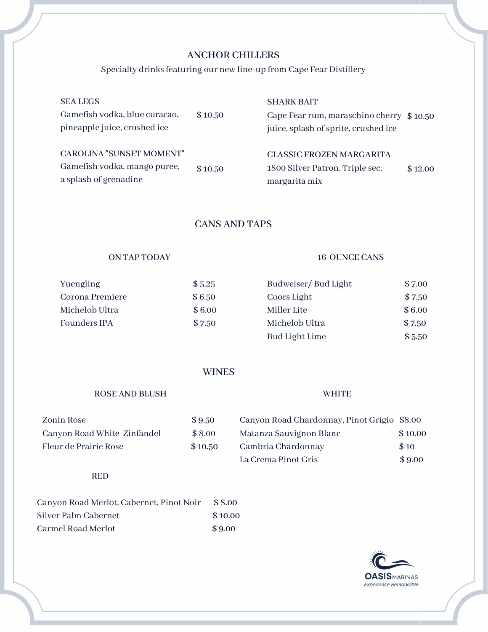# ANCHOR CHILLERS

## Specialty drinks featuring our new line-up from Cape Fear Distillery

| <b>SEA LEGS</b><br>Gamefish vodka, blue curacao,<br>pineapple juice, crushed ice         | \$10.50 | <b>SHARK BAIT</b><br>Cape Fear rum, maraschino cherry \$10.50<br>juice, splash of sprite, crushed ice |         |
|------------------------------------------------------------------------------------------|---------|-------------------------------------------------------------------------------------------------------|---------|
| <b>CAROLINA "SUNSET MOMENT"</b><br>Gamefish vodka, mango puree,<br>a splash of grenadine | \$10.50 | CLASSIC FROZEN MARGARITA<br>1800 Silver Patron, Triple sec,<br>margarita mix                          | \$12.00 |

CANS AND TAPS

# ON TAP TODAY

# 16-OUNCE CANS

**WHITE** 

| Yuengling       | \$5.25 | Budweiser/Bud Light | \$7.00 |
|-----------------|--------|---------------------|--------|
| Corona Premiere | \$6.50 | Coors Light         | \$7.50 |
| Michelob Ultra  | \$6.00 | Miller Lite         | \$6.00 |
| Founders IPA    | \$7.50 | Michelob Ultra      | \$7.50 |
|                 |        | Bud Light Lime      | \$5.50 |

# **WINES**

# ROSE AND BLUSH

#### Zonin Rose \$9.50 Canyon Road White Zinfandel \$ 8.00 Fleur de Prairie Rose  $$10.50$ Canyon Road Chardonnay, Pinot Grigio \$8.00 Matanza Sauvignon Blanc \$ 10.00 Cambria Chardonnay \$ 10 La Crema Pinot Gris  $$9.00$

# RED

| Canyon Road Merlot, Cabernet, Pinot Noir | \$8.00  |
|------------------------------------------|---------|
| Silver Palm Cabernet                     | \$10.00 |
| Carmel Road Merlot                       | \$9.00  |

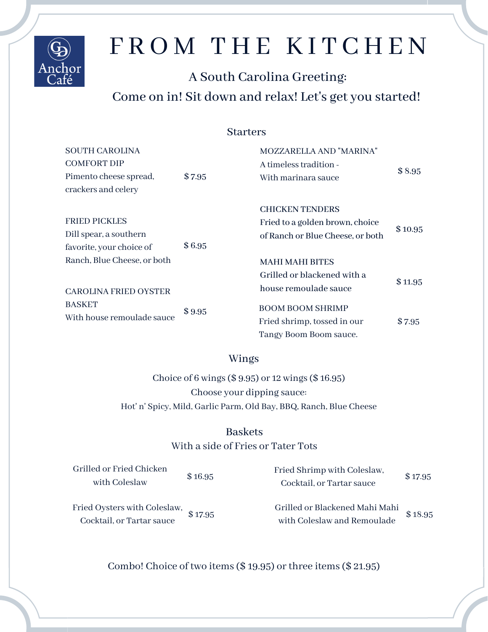

# FROM THE KITCHEN

# A South Carolina Greeting: Come on in! Sit down and relax! Let's get you started!

# **Starters**

| <b>SOUTH CAROLINA</b>        |        | <b>MOZZARELLA AND "MARINA"</b>   |         |
|------------------------------|--------|----------------------------------|---------|
| <b>COMFORT DIP</b>           |        | A timeless tradition -           |         |
| Pimento cheese spread,       | \$7.95 | With marinara sauce              | \$8.95  |
| crackers and celery          |        |                                  |         |
|                              |        | <b>CHICKEN TENDERS</b>           |         |
| <b>FRIED PICKLES</b>         |        | Fried to a golden brown, choice  |         |
| Dill spear, a southern       |        | of Ranch or Blue Cheese, or both | \$10.95 |
| favorite, your choice of     | \$6.95 |                                  |         |
| Ranch, Blue Cheese, or both  |        | <b>MAHI MAHI BITES</b>           |         |
|                              |        | Grilled or blackened with a      |         |
| <b>CAROLINA FRIED OYSTER</b> |        | house remoulade sauce            | \$11.95 |
| <b>BASKET</b>                | \$9.95 | <b>BOOM BOOM SHRIMP</b>          |         |
| With house remoulade sauce   |        | Fried shrimp, tossed in our      | \$7.95  |
|                              |        | Tangy Boom Boom sauce.           |         |

# Wings

Choice of 6 wings(\$ 9.95) or 12 wings(\$ 16.95) Choose your dipping sauce: Hot' n' Spicy, Mild, Garlic Parm, Old Bay, BBQ, Ranch, Blue Cheese

# Baskets

# With a side of Fries or Tater Tots

| Grilled or Fried Chicken<br>with Coleslaw                          | \$16.95 | Fried Shrimp with Coleslaw,<br>Cocktail, or Tartar sauce      | \$17.95 |
|--------------------------------------------------------------------|---------|---------------------------------------------------------------|---------|
| Fried Oysters with Coleslaw, $$17.95$<br>Cocktail, or Tartar sauce |         | Grilled or Blackened Mahi Mahi<br>with Coleslaw and Remoulade | \$18.95 |

Combo! Choice of two items  $(\$19.95)$  or three items  $(\$21.95)$